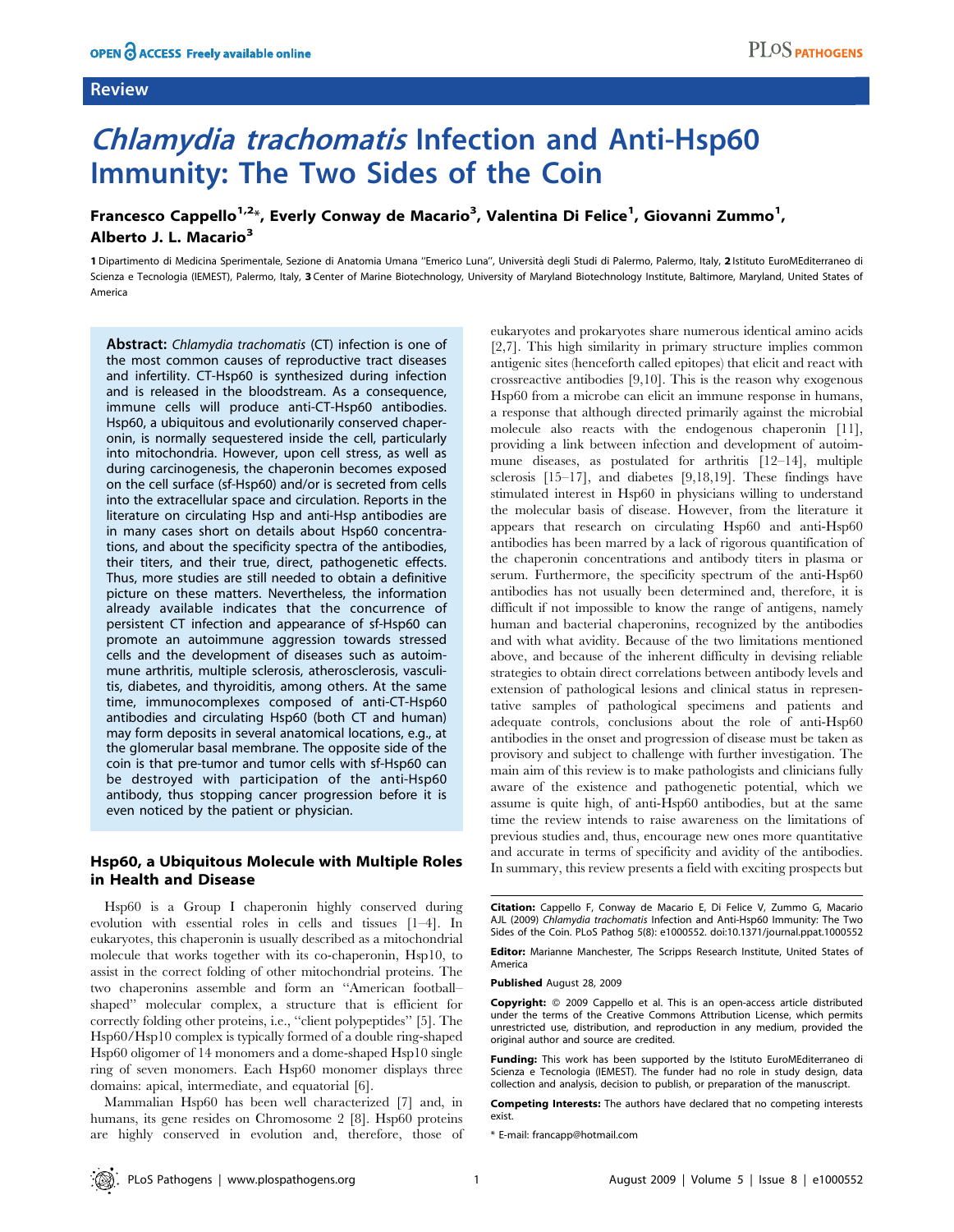## Review

# Chlamydia trachomatis Infection and Anti-Hsp60 Immunity: The Two Sides of the Coin

## Francesco Cappello<sup>1,2</sup>\*, Everly Conway de Macario<sup>3</sup>, Valentina Di Felice<sup>1</sup>, Giovanni Zummo<sup>1</sup>, Alberto J. L. Macario<sup>3</sup>

1 Dipartimento di Medicina Sperimentale, Sezione di Anatomia Umana "Emerico Luna", Università degli Studi di Palermo, Palermo, Italy, 2 Istituto EuroMEditerraneo di Scienza e Tecnologia (IEMEST), Palermo, Italy, 3 Center of Marine Biotechnology, University of Maryland Biotechnology Institute, Baltimore, Maryland, United States of America

Abstract: Chlamydia trachomatis (CT) infection is one of the most common causes of reproductive tract diseases and infertility. CT-Hsp60 is synthesized during infection and is released in the bloodstream. As a consequence, immune cells will produce anti-CT-Hsp60 antibodies. Hsp60, a ubiquitous and evolutionarily conserved chaperonin, is normally sequestered inside the cell, particularly into mitochondria. However, upon cell stress, as well as during carcinogenesis, the chaperonin becomes exposed on the cell surface (sf-Hsp60) and/or is secreted from cells into the extracellular space and circulation. Reports in the literature on circulating Hsp and anti-Hsp antibodies are in many cases short on details about Hsp60 concentrations, and about the specificity spectra of the antibodies, their titers, and their true, direct, pathogenetic effects. Thus, more studies are still needed to obtain a definitive picture on these matters. Nevertheless, the information already available indicates that the concurrence of persistent CT infection and appearance of sf-Hsp60 can promote an autoimmune aggression towards stressed cells and the development of diseases such as autoimmune arthritis, multiple sclerosis, atherosclerosis, vasculitis, diabetes, and thyroiditis, among others. At the same time, immunocomplexes composed of anti-CT-Hsp60 antibodies and circulating Hsp60 (both CT and human) may form deposits in several anatomical locations, e.g., at the glomerular basal membrane. The opposite side of the coin is that pre-tumor and tumor cells with sf-Hsp60 can be destroyed with participation of the anti-Hsp60 antibody, thus stopping cancer progression before it is even noticed by the patient or physician.

## Hsp60, a Ubiquitous Molecule with Multiple Roles in Health and Disease

Hsp60 is a Group I chaperonin highly conserved during evolution with essential roles in cells and tissues [1–4]. In eukaryotes, this chaperonin is usually described as a mitochondrial molecule that works together with its co-chaperonin, Hsp10, to assist in the correct folding of other mitochondrial proteins. The two chaperonins assemble and form an ''American football– shaped'' molecular complex, a structure that is efficient for correctly folding other proteins, i.e., ''client polypeptides'' [5]. The Hsp60/Hsp10 complex is typically formed of a double ring-shaped Hsp60 oligomer of 14 monomers and a dome-shaped Hsp10 single ring of seven monomers. Each Hsp60 monomer displays three domains: apical, intermediate, and equatorial [6].

Mammalian Hsp60 has been well characterized [7] and, in humans, its gene resides on Chromosome 2 [8]. Hsp60 proteins are highly conserved in evolution and, therefore, those of eukaryotes and prokaryotes share numerous identical amino acids [2,7]. This high similarity in primary structure implies common antigenic sites (henceforth called epitopes) that elicit and react with crossreactive antibodies [9,10]. This is the reason why exogenous Hsp60 from a microbe can elicit an immune response in humans, a response that although directed primarily against the microbial molecule also reacts with the endogenous chaperonin [11], providing a link between infection and development of autoimmune diseases, as postulated for arthritis [12–14], multiple sclerosis [15–17], and diabetes [9,18,19]. These findings have stimulated interest in Hsp60 in physicians willing to understand the molecular basis of disease. However, from the literature it appears that research on circulating Hsp60 and anti-Hsp60 antibodies has been marred by a lack of rigorous quantification of the chaperonin concentrations and antibody titers in plasma or serum. Furthermore, the specificity spectrum of the anti-Hsp60 antibodies has not usually been determined and, therefore, it is difficult if not impossible to know the range of antigens, namely human and bacterial chaperonins, recognized by the antibodies and with what avidity. Because of the two limitations mentioned above, and because of the inherent difficulty in devising reliable strategies to obtain direct correlations between antibody levels and extension of pathological lesions and clinical status in representative samples of pathological specimens and patients and adequate controls, conclusions about the role of anti-Hsp60 antibodies in the onset and progression of disease must be taken as provisory and subject to challenge with further investigation. The main aim of this review is to make pathologists and clinicians fully aware of the existence and pathogenetic potential, which we assume is quite high, of anti-Hsp60 antibodies, but at the same time the review intends to raise awareness on the limitations of previous studies and, thus, encourage new ones more quantitative and accurate in terms of specificity and avidity of the antibodies. In summary, this review presents a field with exciting prospects but

Citation: Cappello F, Conway de Macario E, Di Felice V, Zummo G, Macario AJL (2009) Chlamydia trachomatis Infection and Anti-Hsp60 Immunity: The Two Sides of the Coin. PLoS Pathog 5(8): e1000552. doi:10.1371/journal.ppat.1000552

Editor: Marianne Manchester, The Scripps Research Institute, United States of America

Published August 28, 2009

Copyright: @ 2009 Cappello et al. This is an open-access article distributed under the terms of the Creative Commons Attribution License, which permits unrestricted use, distribution, and reproduction in any medium, provided the original author and source are credited.

Funding: This work has been supported by the Istituto EuroMEditerraneo di Scienza e Tecnologia (IEMEST). The funder had no role in study design, data collection and analysis, decision to publish, or preparation of the manuscript.

Competing Interests: The authors have declared that no competing interests exist.

\* E-mail: francapp@hotmail.com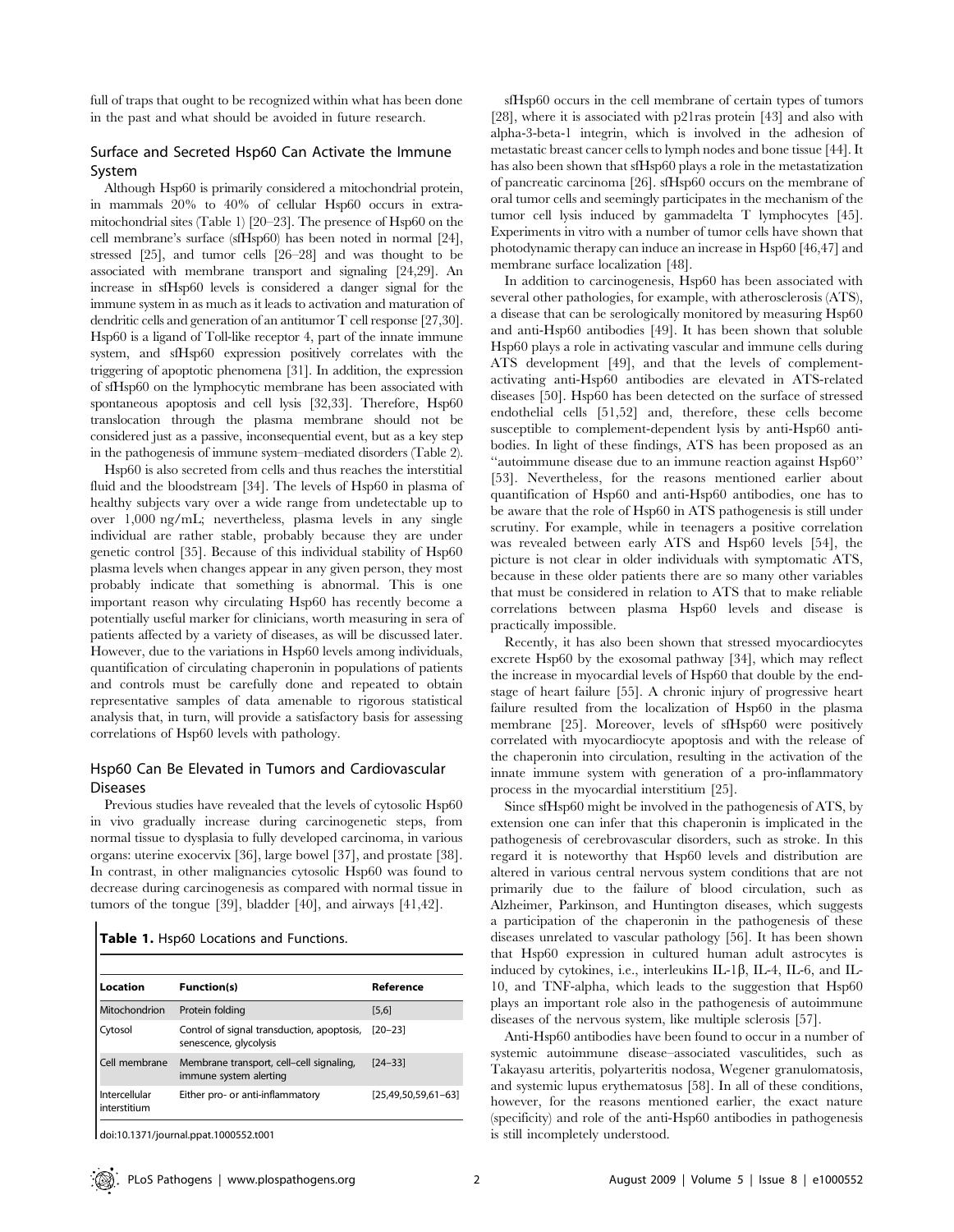full of traps that ought to be recognized within what has been done in the past and what should be avoided in future research.

#### Surface and Secreted Hsp60 Can Activate the Immune System

Although Hsp60 is primarily considered a mitochondrial protein, in mammals 20% to 40% of cellular Hsp60 occurs in extramitochondrial sites (Table 1) [20–23]. The presence of Hsp60 on the cell membrane's surface (sfHsp60) has been noted in normal [24], stressed [25], and tumor cells [26–28] and was thought to be associated with membrane transport and signaling [24,29]. An increase in sfHsp60 levels is considered a danger signal for the immune system in as much as it leads to activation and maturation of dendritic cells and generation of an antitumor T cell response [27,30]. Hsp60 is a ligand of Toll-like receptor 4, part of the innate immune system, and sfHsp60 expression positively correlates with the triggering of apoptotic phenomena [31]. In addition, the expression of sfHsp60 on the lymphocytic membrane has been associated with spontaneous apoptosis and cell lysis [32,33]. Therefore, Hsp60 translocation through the plasma membrane should not be considered just as a passive, inconsequential event, but as a key step in the pathogenesis of immune system–mediated disorders (Table 2).

Hsp60 is also secreted from cells and thus reaches the interstitial fluid and the bloodstream [34]. The levels of Hsp60 in plasma of healthy subjects vary over a wide range from undetectable up to over 1,000 ng/mL; nevertheless, plasma levels in any single individual are rather stable, probably because they are under genetic control [35]. Because of this individual stability of Hsp60 plasma levels when changes appear in any given person, they most probably indicate that something is abnormal. This is one important reason why circulating Hsp60 has recently become a potentially useful marker for clinicians, worth measuring in sera of patients affected by a variety of diseases, as will be discussed later. However, due to the variations in Hsp60 levels among individuals, quantification of circulating chaperonin in populations of patients and controls must be carefully done and repeated to obtain representative samples of data amenable to rigorous statistical analysis that, in turn, will provide a satisfactory basis for assessing correlations of Hsp60 levels with pathology.

#### Hsp60 Can Be Elevated in Tumors and Cardiovascular Diseases

Previous studies have revealed that the levels of cytosolic Hsp60 in vivo gradually increase during carcinogenetic steps, from normal tissue to dysplasia to fully developed carcinoma, in various organs: uterine exocervix [36], large bowel [37], and prostate [38]. In contrast, in other malignancies cytosolic Hsp60 was found to decrease during carcinogenesis as compared with normal tissue in tumors of the tongue [39], bladder [40], and airways [41,42].

|  |  |  |  |  | Table 1. Hsp60 Locations and Functions. |
|--|--|--|--|--|-----------------------------------------|
|--|--|--|--|--|-----------------------------------------|

| Location                      | <b>Function(s)</b>                                                   | Reference             |
|-------------------------------|----------------------------------------------------------------------|-----------------------|
| Mitochondrion                 | Protein folding                                                      | $[5,6]$               |
| Cytosol                       | Control of signal transduction, apoptosis,<br>senescence, glycolysis | $[20 - 23]$           |
| Cell membrane                 | Membrane transport, cell-cell signaling,<br>immune system alerting   | $[24 - 33]$           |
| Intercellular<br>interstitium | Either pro- or anti-inflammatory                                     | $[25,49,50,59,61-63]$ |

doi:10.1371/journal.ppat.1000552.t001

sfHsp60 occurs in the cell membrane of certain types of tumors [28], where it is associated with p21ras protein [43] and also with alpha-3-beta-1 integrin, which is involved in the adhesion of metastatic breast cancer cells to lymph nodes and bone tissue [44]. It has also been shown that sfHsp60 plays a role in the metastatization of pancreatic carcinoma [26]. sfHsp60 occurs on the membrane of oral tumor cells and seemingly participates in the mechanism of the tumor cell lysis induced by gammadelta T lymphocytes [45]. Experiments in vitro with a number of tumor cells have shown that photodynamic therapy can induce an increase in Hsp60 [46,47] and membrane surface localization [48].

In addition to carcinogenesis, Hsp60 has been associated with several other pathologies, for example, with atherosclerosis (ATS), a disease that can be serologically monitored by measuring Hsp60 and anti-Hsp60 antibodies [49]. It has been shown that soluble Hsp60 plays a role in activating vascular and immune cells during ATS development [49], and that the levels of complementactivating anti-Hsp60 antibodies are elevated in ATS-related diseases [50]. Hsp60 has been detected on the surface of stressed endothelial cells [51,52] and, therefore, these cells become susceptible to complement-dependent lysis by anti-Hsp60 antibodies. In light of these findings, ATS has been proposed as an ''autoimmune disease due to an immune reaction against Hsp60'' [53]. Nevertheless, for the reasons mentioned earlier about quantification of Hsp60 and anti-Hsp60 antibodies, one has to be aware that the role of Hsp60 in ATS pathogenesis is still under scrutiny. For example, while in teenagers a positive correlation was revealed between early ATS and Hsp60 levels [54], the picture is not clear in older individuals with symptomatic ATS, because in these older patients there are so many other variables that must be considered in relation to ATS that to make reliable correlations between plasma Hsp60 levels and disease is practically impossible.

Recently, it has also been shown that stressed myocardiocytes excrete Hsp60 by the exosomal pathway [34], which may reflect the increase in myocardial levels of Hsp60 that double by the endstage of heart failure [55]. A chronic injury of progressive heart failure resulted from the localization of Hsp60 in the plasma membrane [25]. Moreover, levels of sfHsp60 were positively correlated with myocardiocyte apoptosis and with the release of the chaperonin into circulation, resulting in the activation of the innate immune system with generation of a pro-inflammatory process in the myocardial interstitium [25].

Since sfHsp60 might be involved in the pathogenesis of ATS, by extension one can infer that this chaperonin is implicated in the pathogenesis of cerebrovascular disorders, such as stroke. In this regard it is noteworthy that Hsp60 levels and distribution are altered in various central nervous system conditions that are not primarily due to the failure of blood circulation, such as Alzheimer, Parkinson, and Huntington diseases, which suggests a participation of the chaperonin in the pathogenesis of these diseases unrelated to vascular pathology [56]. It has been shown that Hsp60 expression in cultured human adult astrocytes is induced by cytokines, i.e., interleukins IL-1 $\beta$ , IL-4, IL-6, and IL-10, and TNF-alpha, which leads to the suggestion that Hsp60 plays an important role also in the pathogenesis of autoimmune diseases of the nervous system, like multiple sclerosis [57].

Anti-Hsp60 antibodies have been found to occur in a number of systemic autoimmune disease–associated vasculitides, such as Takayasu arteritis, polyarteritis nodosa, Wegener granulomatosis, and systemic lupus erythematosus [58]. In all of these conditions, however, for the reasons mentioned earlier, the exact nature (specificity) and role of the anti-Hsp60 antibodies in pathogenesis is still incompletely understood.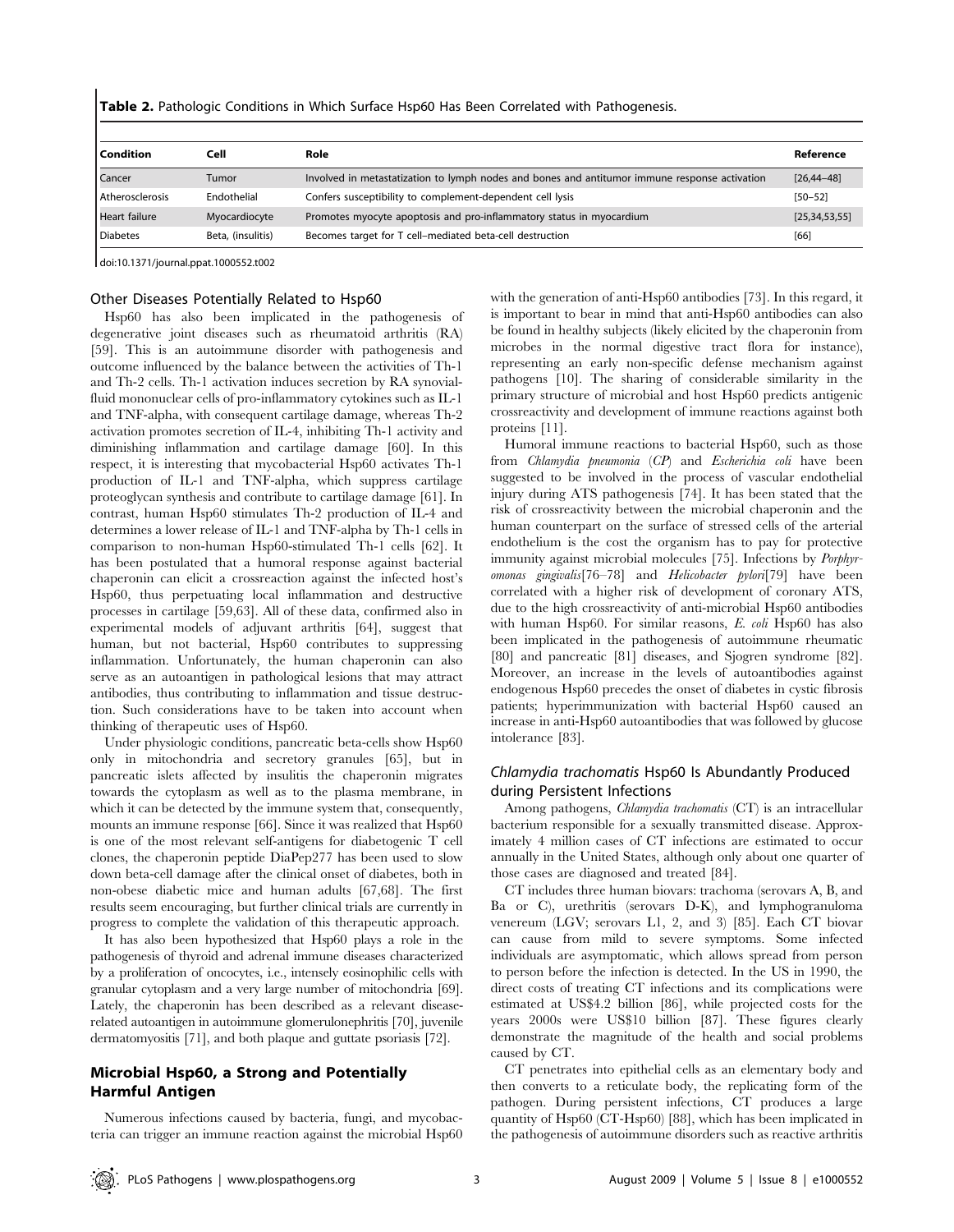|  |  |  | Table 2. Pathologic Conditions in Which Surface Hsp60 Has Been Correlated with Pathogenesis. |
|--|--|--|----------------------------------------------------------------------------------------------|
|--|--|--|----------------------------------------------------------------------------------------------|

| l Condition            | Cell              | Role                                                                                          | Reference        |
|------------------------|-------------------|-----------------------------------------------------------------------------------------------|------------------|
| Cancer                 | Tumor             | Involved in metastatization to lymph nodes and bones and antitumor immune response activation | $[26, 44 - 48]$  |
| <b>Atherosclerosis</b> | Endothelial       | Confers susceptibility to complement-dependent cell lysis                                     | $[50 - 52]$      |
| Heart failure          | Myocardiocyte     | Promotes myocyte apoptosis and pro-inflammatory status in myocardium                          | [25, 34, 53, 55] |
| <b>Diabetes</b>        | Beta, (insulitis) | Becomes target for T cell-mediated beta-cell destruction                                      | [66]             |

doi:10.1371/journal.ppat.1000552.t002

### Other Diseases Potentially Related to Hsp60

Hsp60 has also been implicated in the pathogenesis of degenerative joint diseases such as rheumatoid arthritis (RA) [59]. This is an autoimmune disorder with pathogenesis and outcome influenced by the balance between the activities of Th-1 and Th-2 cells. Th-1 activation induces secretion by RA synovialfluid mononuclear cells of pro-inflammatory cytokines such as IL-1 and TNF-alpha, with consequent cartilage damage, whereas Th-2 activation promotes secretion of IL-4, inhibiting Th-1 activity and diminishing inflammation and cartilage damage [60]. In this respect, it is interesting that mycobacterial Hsp60 activates Th-1 production of IL-1 and TNF-alpha, which suppress cartilage proteoglycan synthesis and contribute to cartilage damage [61]. In contrast, human Hsp60 stimulates Th-2 production of IL-4 and determines a lower release of IL-1 and TNF-alpha by Th-1 cells in comparison to non-human Hsp60-stimulated Th-1 cells [62]. It has been postulated that a humoral response against bacterial chaperonin can elicit a crossreaction against the infected host's Hsp60, thus perpetuating local inflammation and destructive processes in cartilage [59,63]. All of these data, confirmed also in experimental models of adjuvant arthritis [64], suggest that human, but not bacterial, Hsp60 contributes to suppressing inflammation. Unfortunately, the human chaperonin can also serve as an autoantigen in pathological lesions that may attract antibodies, thus contributing to inflammation and tissue destruction. Such considerations have to be taken into account when thinking of therapeutic uses of Hsp60.

Under physiologic conditions, pancreatic beta-cells show Hsp60 only in mitochondria and secretory granules [65], but in pancreatic islets affected by insulitis the chaperonin migrates towards the cytoplasm as well as to the plasma membrane, in which it can be detected by the immune system that, consequently, mounts an immune response [66]. Since it was realized that Hsp60 is one of the most relevant self-antigens for diabetogenic T cell clones, the chaperonin peptide DiaPep277 has been used to slow down beta-cell damage after the clinical onset of diabetes, both in non-obese diabetic mice and human adults [67,68]. The first results seem encouraging, but further clinical trials are currently in progress to complete the validation of this therapeutic approach.

It has also been hypothesized that Hsp60 plays a role in the pathogenesis of thyroid and adrenal immune diseases characterized by a proliferation of oncocytes, i.e., intensely eosinophilic cells with granular cytoplasm and a very large number of mitochondria [69]. Lately, the chaperonin has been described as a relevant diseaserelated autoantigen in autoimmune glomerulonephritis [70], juvenile dermatomyositis [71], and both plaque and guttate psoriasis [72].

## Microbial Hsp60, a Strong and Potentially Harmful Antigen

Numerous infections caused by bacteria, fungi, and mycobacteria can trigger an immune reaction against the microbial Hsp60 with the generation of anti-Hsp60 antibodies [73]. In this regard, it is important to bear in mind that anti-Hsp60 antibodies can also be found in healthy subjects (likely elicited by the chaperonin from microbes in the normal digestive tract flora for instance), representing an early non-specific defense mechanism against pathogens [10]. The sharing of considerable similarity in the primary structure of microbial and host Hsp60 predicts antigenic crossreactivity and development of immune reactions against both proteins [11].

Humoral immune reactions to bacterial Hsp60, such as those from Chlamydia pneumonia (CP) and Escherichia coli have been suggested to be involved in the process of vascular endothelial injury during ATS pathogenesis [74]. It has been stated that the risk of crossreactivity between the microbial chaperonin and the human counterpart on the surface of stressed cells of the arterial endothelium is the cost the organism has to pay for protective immunity against microbial molecules [75]. Infections by Porphyromonas gingivalis[76–78] and Helicobacter pylori[79] have been correlated with a higher risk of development of coronary ATS, due to the high crossreactivity of anti-microbial Hsp60 antibodies with human Hsp60. For similar reasons, E. coli Hsp60 has also been implicated in the pathogenesis of autoimmune rheumatic [80] and pancreatic [81] diseases, and Sjogren syndrome [82]. Moreover, an increase in the levels of autoantibodies against endogenous Hsp60 precedes the onset of diabetes in cystic fibrosis patients; hyperimmunization with bacterial Hsp60 caused an increase in anti-Hsp60 autoantibodies that was followed by glucose intolerance [83].

## Chlamydia trachomatis Hsp60 Is Abundantly Produced during Persistent Infections

Among pathogens, Chlamydia trachomatis (CT) is an intracellular bacterium responsible for a sexually transmitted disease. Approximately 4 million cases of CT infections are estimated to occur annually in the United States, although only about one quarter of those cases are diagnosed and treated [84].

CT includes three human biovars: trachoma (serovars A, B, and Ba or C), urethritis (serovars D-K), and lymphogranuloma venereum (LGV; serovars L1, 2, and 3) [85]. Each CT biovar can cause from mild to severe symptoms. Some infected individuals are asymptomatic, which allows spread from person to person before the infection is detected. In the US in 1990, the direct costs of treating CT infections and its complications were estimated at US\$4.2 billion [86], while projected costs for the years 2000s were US\$10 billion [87]. These figures clearly demonstrate the magnitude of the health and social problems caused by CT.

CT penetrates into epithelial cells as an elementary body and then converts to a reticulate body, the replicating form of the pathogen. During persistent infections, CT produces a large quantity of Hsp60 (CT-Hsp60) [88], which has been implicated in the pathogenesis of autoimmune disorders such as reactive arthritis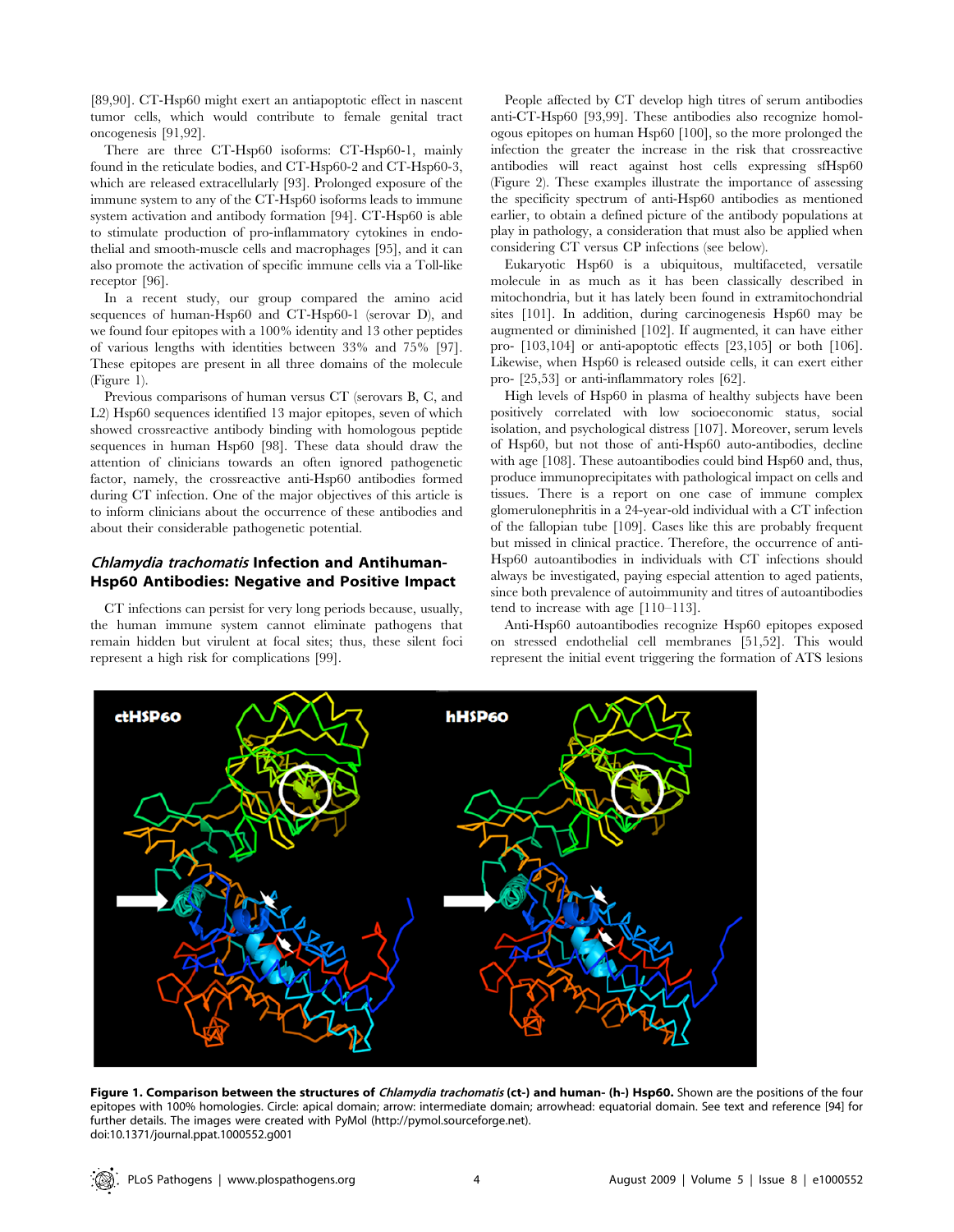[89,90]. CT-Hsp60 might exert an antiapoptotic effect in nascent tumor cells, which would contribute to female genital tract oncogenesis [91,92].

There are three CT-Hsp60 isoforms: CT-Hsp60-1, mainly found in the reticulate bodies, and CT-Hsp60-2 and CT-Hsp60-3, which are released extracellularly [93]. Prolonged exposure of the immune system to any of the CT-Hsp60 isoforms leads to immune system activation and antibody formation [94]. CT-Hsp60 is able to stimulate production of pro-inflammatory cytokines in endothelial and smooth-muscle cells and macrophages [95], and it can also promote the activation of specific immune cells via a Toll-like receptor [96].

In a recent study, our group compared the amino acid sequences of human-Hsp60 and CT-Hsp60-1 (serovar D), and we found four epitopes with a 100% identity and 13 other peptides of various lengths with identities between 33% and 75% [97]. These epitopes are present in all three domains of the molecule (Figure 1).

Previous comparisons of human versus CT (serovars B, C, and L2) Hsp60 sequences identified 13 major epitopes, seven of which showed crossreactive antibody binding with homologous peptide sequences in human Hsp60 [98]. These data should draw the attention of clinicians towards an often ignored pathogenetic factor, namely, the crossreactive anti-Hsp60 antibodies formed during CT infection. One of the major objectives of this article is to inform clinicians about the occurrence of these antibodies and about their considerable pathogenetic potential.

#### Chlamydia trachomatis Infection and Antihuman-Hsp60 Antibodies: Negative and Positive Impact

CT infections can persist for very long periods because, usually, the human immune system cannot eliminate pathogens that remain hidden but virulent at focal sites; thus, these silent foci represent a high risk for complications [99].

People affected by CT develop high titres of serum antibodies anti-CT-Hsp60 [93,99]. These antibodies also recognize homologous epitopes on human Hsp60 [100], so the more prolonged the infection the greater the increase in the risk that crossreactive antibodies will react against host cells expressing sfHsp60 (Figure 2). These examples illustrate the importance of assessing the specificity spectrum of anti-Hsp60 antibodies as mentioned earlier, to obtain a defined picture of the antibody populations at play in pathology, a consideration that must also be applied when considering CT versus CP infections (see below).

Eukaryotic Hsp60 is a ubiquitous, multifaceted, versatile molecule in as much as it has been classically described in mitochondria, but it has lately been found in extramitochondrial sites [101]. In addition, during carcinogenesis Hsp60 may be augmented or diminished [102]. If augmented, it can have either pro- [103,104] or anti-apoptotic effects [23,105] or both [106]. Likewise, when Hsp60 is released outside cells, it can exert either pro- [25,53] or anti-inflammatory roles [62].

High levels of Hsp60 in plasma of healthy subjects have been positively correlated with low socioeconomic status, social isolation, and psychological distress [107]. Moreover, serum levels of Hsp60, but not those of anti-Hsp60 auto-antibodies, decline with age [108]. These autoantibodies could bind Hsp60 and, thus, produce immunoprecipitates with pathological impact on cells and tissues. There is a report on one case of immune complex glomerulonephritis in a 24-year-old individual with a CT infection of the fallopian tube [109]. Cases like this are probably frequent but missed in clinical practice. Therefore, the occurrence of anti-Hsp60 autoantibodies in individuals with CT infections should always be investigated, paying especial attention to aged patients, since both prevalence of autoimmunity and titres of autoantibodies tend to increase with age [110–113].

Anti-Hsp60 autoantibodies recognize Hsp60 epitopes exposed on stressed endothelial cell membranes [51,52]. This would represent the initial event triggering the formation of ATS lesions



Figure 1. Comparison between the structures of *Chlamydia trachomatis* (ct-) and human- (h-) Hsp60. Shown are the positions of the four epitopes with 100% homologies. Circle: apical domain; arrow: intermediate domain; arrowhead: equatorial domain. See text and reference [94] for further details. The images were created with PyMol (http://pymol.sourceforge.net). doi:10.1371/journal.ppat.1000552.g001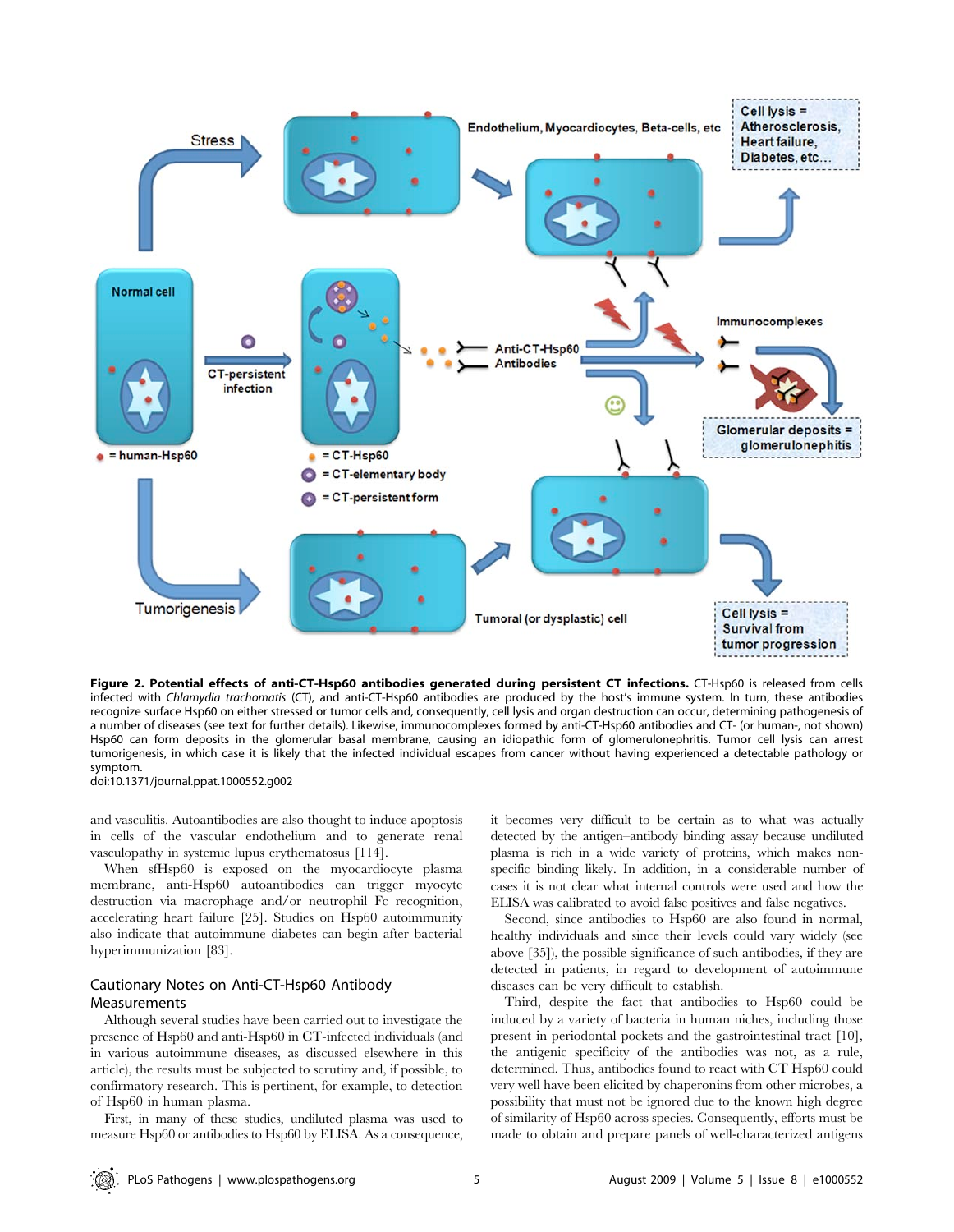

Figure 2. Potential effects of anti-CT-Hsp60 antibodies generated during persistent CT infections. CT-Hsp60 is released from cells infected with Chlamydia trachomatis (CT), and anti-CT-Hsp60 antibodies are produced by the host's immune system. In turn, these antibodies recognize surface Hsp60 on either stressed or tumor cells and, consequently, cell lysis and organ destruction can occur, determining pathogenesis of a number of diseases (see text for further details). Likewise, immunocomplexes formed by anti-CT-Hsp60 antibodies and CT- (or human-, not shown) Hsp60 can form deposits in the glomerular basal membrane, causing an idiopathic form of glomerulonephritis. Tumor cell lysis can arrest tumorigenesis, in which case it is likely that the infected individual escapes from cancer without having experienced a detectable pathology or symptom.

doi:10.1371/journal.ppat.1000552.g002

and vasculitis. Autoantibodies are also thought to induce apoptosis in cells of the vascular endothelium and to generate renal vasculopathy in systemic lupus erythematosus [114].

When sfHsp60 is exposed on the myocardiocyte plasma membrane, anti-Hsp60 autoantibodies can trigger myocyte destruction via macrophage and/or neutrophil Fc recognition, accelerating heart failure [25]. Studies on Hsp60 autoimmunity also indicate that autoimmune diabetes can begin after bacterial hyperimmunization [83].

## Cautionary Notes on Anti-CT-Hsp60 Antibody Measurements

Although several studies have been carried out to investigate the presence of Hsp60 and anti-Hsp60 in CT-infected individuals (and in various autoimmune diseases, as discussed elsewhere in this article), the results must be subjected to scrutiny and, if possible, to confirmatory research. This is pertinent, for example, to detection of Hsp60 in human plasma.

First, in many of these studies, undiluted plasma was used to measure Hsp60 or antibodies to Hsp60 by ELISA. As a consequence, it becomes very difficult to be certain as to what was actually detected by the antigen–antibody binding assay because undiluted plasma is rich in a wide variety of proteins, which makes nonspecific binding likely. In addition, in a considerable number of cases it is not clear what internal controls were used and how the ELISA was calibrated to avoid false positives and false negatives.

Second, since antibodies to Hsp60 are also found in normal, healthy individuals and since their levels could vary widely (see above [35]), the possible significance of such antibodies, if they are detected in patients, in regard to development of autoimmune diseases can be very difficult to establish.

Third, despite the fact that antibodies to Hsp60 could be induced by a variety of bacteria in human niches, including those present in periodontal pockets and the gastrointestinal tract [10], the antigenic specificity of the antibodies was not, as a rule, determined. Thus, antibodies found to react with CT Hsp60 could very well have been elicited by chaperonins from other microbes, a possibility that must not be ignored due to the known high degree of similarity of Hsp60 across species. Consequently, efforts must be made to obtain and prepare panels of well-characterized antigens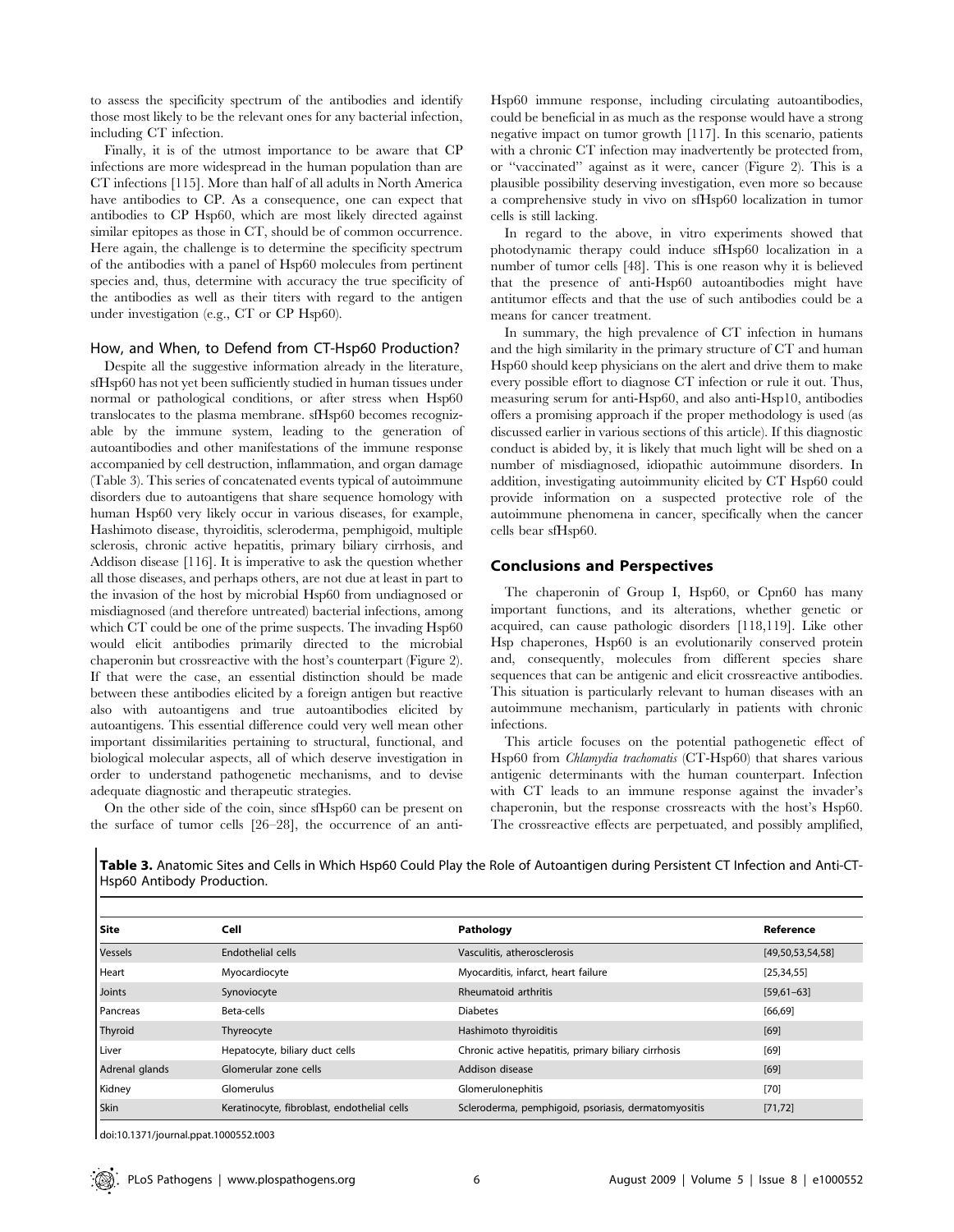to assess the specificity spectrum of the antibodies and identify those most likely to be the relevant ones for any bacterial infection, including CT infection.

Finally, it is of the utmost importance to be aware that CP infections are more widespread in the human population than are CT infections [115]. More than half of all adults in North America have antibodies to CP. As a consequence, one can expect that antibodies to CP Hsp60, which are most likely directed against similar epitopes as those in CT, should be of common occurrence. Here again, the challenge is to determine the specificity spectrum of the antibodies with a panel of Hsp60 molecules from pertinent species and, thus, determine with accuracy the true specificity of the antibodies as well as their titers with regard to the antigen under investigation (e.g., CT or CP Hsp60).

#### How, and When, to Defend from CT-Hsp60 Production?

Despite all the suggestive information already in the literature, sfHsp60 has not yet been sufficiently studied in human tissues under normal or pathological conditions, or after stress when Hsp60 translocates to the plasma membrane. sfHsp60 becomes recognizable by the immune system, leading to the generation of autoantibodies and other manifestations of the immune response accompanied by cell destruction, inflammation, and organ damage (Table 3). This series of concatenated events typical of autoimmune disorders due to autoantigens that share sequence homology with human Hsp60 very likely occur in various diseases, for example, Hashimoto disease, thyroiditis, scleroderma, pemphigoid, multiple sclerosis, chronic active hepatitis, primary biliary cirrhosis, and Addison disease [116]. It is imperative to ask the question whether all those diseases, and perhaps others, are not due at least in part to the invasion of the host by microbial Hsp60 from undiagnosed or misdiagnosed (and therefore untreated) bacterial infections, among which CT could be one of the prime suspects. The invading Hsp60 would elicit antibodies primarily directed to the microbial chaperonin but crossreactive with the host's counterpart (Figure 2). If that were the case, an essential distinction should be made between these antibodies elicited by a foreign antigen but reactive also with autoantigens and true autoantibodies elicited by autoantigens. This essential difference could very well mean other important dissimilarities pertaining to structural, functional, and biological molecular aspects, all of which deserve investigation in order to understand pathogenetic mechanisms, and to devise adequate diagnostic and therapeutic strategies.

On the other side of the coin, since sfHsp60 can be present on the surface of tumor cells [26–28], the occurrence of an antiHsp60 immune response, including circulating autoantibodies, could be beneficial in as much as the response would have a strong negative impact on tumor growth [117]. In this scenario, patients with a chronic CT infection may inadvertently be protected from, or ''vaccinated'' against as it were, cancer (Figure 2). This is a plausible possibility deserving investigation, even more so because a comprehensive study in vivo on sfHsp60 localization in tumor cells is still lacking.

In regard to the above, in vitro experiments showed that photodynamic therapy could induce sfHsp60 localization in a number of tumor cells [48]. This is one reason why it is believed that the presence of anti-Hsp60 autoantibodies might have antitumor effects and that the use of such antibodies could be a means for cancer treatment.

In summary, the high prevalence of CT infection in humans and the high similarity in the primary structure of CT and human Hsp60 should keep physicians on the alert and drive them to make every possible effort to diagnose CT infection or rule it out. Thus, measuring serum for anti-Hsp60, and also anti-Hsp10, antibodies offers a promising approach if the proper methodology is used (as discussed earlier in various sections of this article). If this diagnostic conduct is abided by, it is likely that much light will be shed on a number of misdiagnosed, idiopathic autoimmune disorders. In addition, investigating autoimmunity elicited by CT Hsp60 could provide information on a suspected protective role of the autoimmune phenomena in cancer, specifically when the cancer cells bear sfHsp60.

#### Conclusions and Perspectives

The chaperonin of Group I, Hsp60, or Cpn60 has many important functions, and its alterations, whether genetic or acquired, can cause pathologic disorders [118,119]. Like other Hsp chaperones, Hsp60 is an evolutionarily conserved protein and, consequently, molecules from different species share sequences that can be antigenic and elicit crossreactive antibodies. This situation is particularly relevant to human diseases with an autoimmune mechanism, particularly in patients with chronic infections.

This article focuses on the potential pathogenetic effect of Hsp60 from Chlamydia trachomatis (CT-Hsp60) that shares various antigenic determinants with the human counterpart. Infection with CT leads to an immune response against the invader's chaperonin, but the response crossreacts with the host's Hsp60. The crossreactive effects are perpetuated, and possibly amplified,

| Site           | Cell                                        | Pathology                                           | Reference        |
|----------------|---------------------------------------------|-----------------------------------------------------|------------------|
| Vessels        | Endothelial cells                           | Vasculitis, atherosclerosis                         | [49,50,53,54,58] |
| Heart          | Myocardiocyte                               | Myocarditis, infarct, heart failure                 | [25, 34, 55]     |
| Joints         | Synoviocyte                                 | Rheumatoid arthritis                                | $[59,61-63]$     |
| Pancreas       | Beta-cells                                  | <b>Diabetes</b>                                     | [66, 69]         |
| Thyroid        | Thyreocyte                                  | Hashimoto thyroiditis                               | $[69]$           |
| Liver          | Hepatocyte, biliary duct cells              | Chronic active hepatitis, primary biliary cirrhosis | $[69]$           |
| Adrenal glands | Glomerular zone cells                       | Addison disease                                     | $[69]$           |
| Kidney         | Glomerulus                                  | Glomerulonephitis                                   | $[70]$           |
| Skin           | Keratinocyte, fibroblast, endothelial cells | Scleroderma, pemphigoid, psoriasis, dermatomyositis | [71, 72]         |

Table 3. Anatomic Sites and Cells in Which Hsp60 Could Play the Role of Autoantigen during Persistent CT Infection and Anti-CT-Hsp60 Antibody Production.

doi:10.1371/journal.ppat.1000552.t003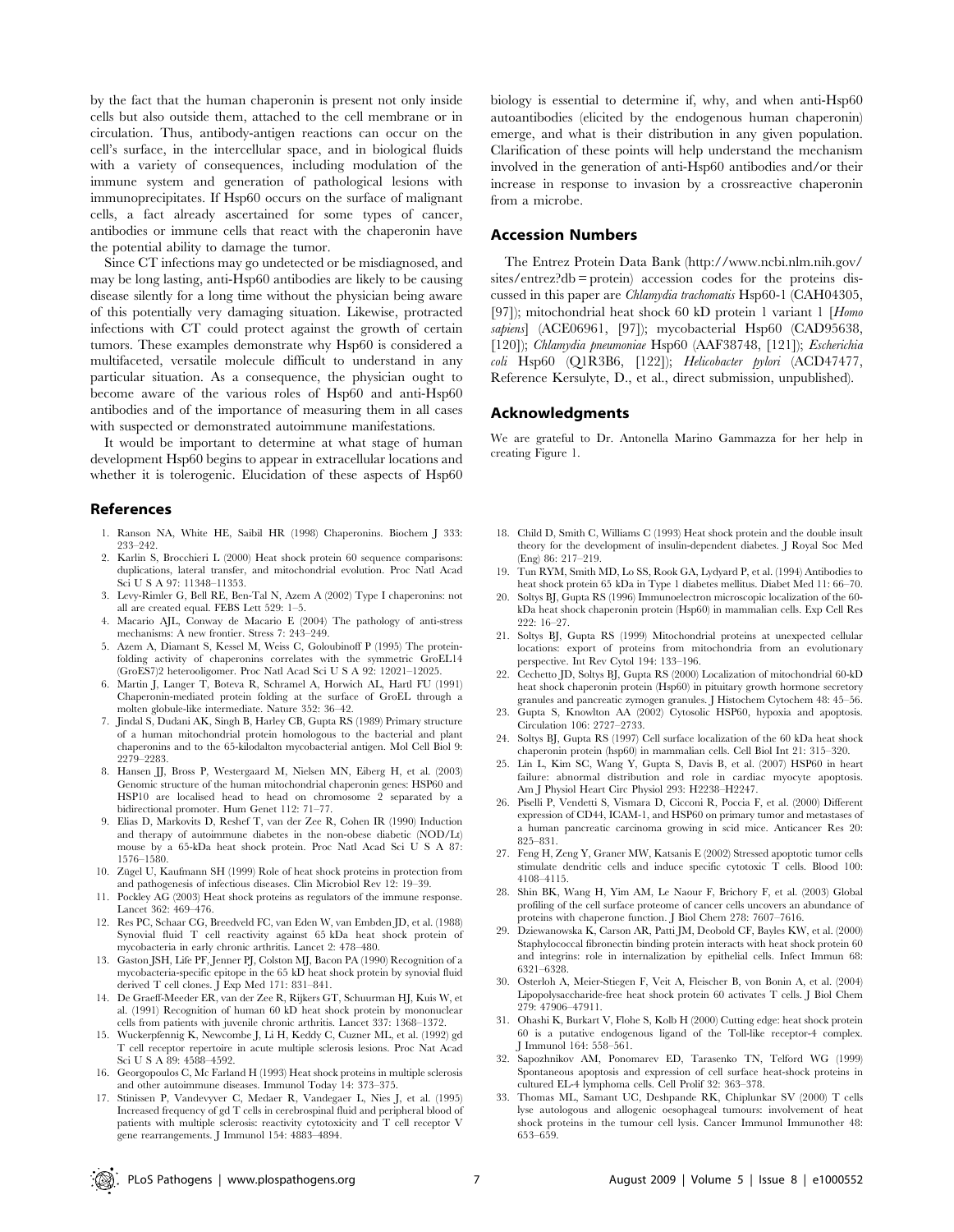by the fact that the human chaperonin is present not only inside cells but also outside them, attached to the cell membrane or in circulation. Thus, antibody-antigen reactions can occur on the cell's surface, in the intercellular space, and in biological fluids with a variety of consequences, including modulation of the immune system and generation of pathological lesions with immunoprecipitates. If Hsp60 occurs on the surface of malignant cells, a fact already ascertained for some types of cancer, antibodies or immune cells that react with the chaperonin have the potential ability to damage the tumor.

Since CT infections may go undetected or be misdiagnosed, and may be long lasting, anti-Hsp60 antibodies are likely to be causing disease silently for a long time without the physician being aware of this potentially very damaging situation. Likewise, protracted infections with CT could protect against the growth of certain tumors. These examples demonstrate why Hsp60 is considered a multifaceted, versatile molecule difficult to understand in any particular situation. As a consequence, the physician ought to become aware of the various roles of Hsp60 and anti-Hsp60 antibodies and of the importance of measuring them in all cases with suspected or demonstrated autoimmune manifestations.

It would be important to determine at what stage of human development Hsp60 begins to appear in extracellular locations and whether it is tolerogenic. Elucidation of these aspects of Hsp60

#### References

- 1. Ranson NA, White HE, Saibil HR (1998) Chaperonins. Biochem J 333: 233–242.
- 2. Karlin S, Brocchieri L (2000) Heat shock protein 60 sequence comparisons: duplications, lateral transfer, and mitochondrial evolution. Proc Natl Acad Sci U S A 97: 11348–11353.
- 3. Levy-Rimler G, Bell RE, Ben-Tal N, Azem A (2002) Type I chaperonins: not all are created equal. FEBS Lett 529: 1–5.
- 4. Macario AJL, Conway de Macario E (2004) The pathology of anti-stress mechanisms: A new frontier. Stress 7: 243–249.
- 5. Azem A, Diamant S, Kessel M, Weiss C, Goloubinoff P (1995) The proteinfolding activity of chaperonins correlates with the symmetric GroEL14 (GroES7)2 heterooligomer. Proc Natl Acad Sci U S A 92: 12021–12025.
- 6. Martin J, Langer T, Boteva R, Schramel A, Horwich AL, Hartl FU (1991) Chaperonin-mediated protein folding at the surface of GroEL through a molten globule-like intermediate. Nature 352: 36–42.
- 7. Jindal S, Dudani AK, Singh B, Harley CB, Gupta RS (1989) Primary structure of a human mitochondrial protein homologous to the bacterial and plant chaperonins and to the 65-kilodalton mycobacterial antigen. Mol Cell Biol 9: 2279–2283.
- 8. Hansen JJ, Bross P, Westergaard M, Nielsen MN, Eiberg H, et al. (2003) Genomic structure of the human mitochondrial chaperonin genes: HSP60 and HSP10 are localised head to head on chromosome 2 separated by a bidirectional promoter. Hum Genet 112: 71–77.
- 9. Elias D, Markovits D, Reshef T, van der Zee R, Cohen IR (1990) Induction and therapy of autoimmune diabetes in the non-obese diabetic (NOD/Lt) mouse by a 65-kDa heat shock protein. Proc Natl Acad Sci U S A 87: 1576–1580.
- 10. Zügel U, Kaufmann SH (1999) Role of heat shock proteins in protection from and pathogenesis of infectious diseases. Clin Microbiol Rev 12: 19–39.
- 11. Pockley AG (2003) Heat shock proteins as regulators of the immune response. Lancet 362: 469–476.
- 12. Res PC, Schaar CG, Breedveld FC, van Eden W, van Embden JD, et al. (1988) Synovial fluid T cell reactivity against 65 kDa heat shock protein of mycobacteria in early chronic arthritis. Lancet 2: 478–480.
- 13. Gaston JSH, Life PF, Jenner PJ, Colston MJ, Bacon PA (1990) Recognition of a mycobacteria-specific epitope in the 65 kD heat shock protein by synovial fluid derived T cell clones. J Exp Med 171: 831–841.
- 14. De Graeff-Meeder ER, van der Zee R, Rijkers GT, Schuurman HJ, Kuis W, et al. (1991) Recognition of human 60 kD heat shock protein by mononuclear cells from patients with juvenile chronic arthritis. Lancet 337: 1368–1372.
- 15. Wuckerpfennig K, Newcombe J, Li H, Keddy C, Cuzner ML, et al. (1992) gd T cell receptor repertoire in acute multiple sclerosis lesions. Proc Nat Acad Sci U S A 89: 4588–4592.
- 16. Georgopoulos C, Mc Farland H (1993) Heat shock proteins in multiple sclerosis and other autoimmune diseases. Immunol Today 14: 373–375.
- 17. Stinissen P, Vandevyver C, Medaer R, Vandegaer L, Nies J, et al. (1995) Increased frequency of gd T cells in cerebrospinal fluid and peripheral blood of patients with multiple sclerosis: reactivity cytotoxicity and T cell receptor V gene rearrangements. J Immunol 154: 4883–4894.

biology is essential to determine if, why, and when anti-Hsp60 autoantibodies (elicited by the endogenous human chaperonin) emerge, and what is their distribution in any given population. Clarification of these points will help understand the mechanism involved in the generation of anti-Hsp60 antibodies and/or their increase in response to invasion by a crossreactive chaperonin from a microbe.

#### Accession Numbers

The Entrez Protein Data Bank (http://www.ncbi.nlm.nih.gov/ sites/entrez?db = protein) accession codes for the proteins discussed in this paper are Chlamydia trachomatis Hsp60-1 (CAH04305, [97]); mitochondrial heat shock 60 kD protein 1 variant 1 [Homo sapiens] (ACE06961, [97]); mycobacterial Hsp60 (CAD95638, [120]); Chlamydia pneumoniae Hsp60 (AAF38748, [121]); Escherichia coli Hsp60 (Q1R3B6, [122]); Helicobacter pylori (ACD47477, Reference Kersulyte, D., et al., direct submission, unpublished).

#### Acknowledgments

We are grateful to Dr. Antonella Marino Gammazza for her help in creating Figure 1.

- 18. Child D, Smith C, Williams C (1993) Heat shock protein and the double insult theory for the development of insulin-dependent diabetes. J Royal Soc Med (Eng) 86: 217–219.
- 19. Tun RYM, Smith MD, Lo SS, Rook GA, Lydyard P, et al. (1994) Antibodies to heat shock protein 65 kDa in Type 1 diabetes mellitus. Diabet Med 11: 66–70.
- 20. Soltys BJ, Gupta RS (1996) Immunoelectron microscopic localization of the 60 kDa heat shock chaperonin protein (Hsp60) in mammalian cells. Exp Cell Res 222: 16–27.
- 21. Soltys BJ, Gupta RS (1999) Mitochondrial proteins at unexpected cellular locations: export of proteins from mitochondria from an evolutionary perspective. Int Rev Cytol 194: 133–196.
- 22. Cechetto JD, Soltys BJ, Gupta RS (2000) Localization of mitochondrial 60-kD heat shock chaperonin protein (Hsp60) in pituitary growth hormone secretory granules and pancreatic zymogen granules. J Histochem Cytochem 48: 45–56.
- 23. Gupta S, Knowlton AA (2002) Cytosolic HSP60, hypoxia and apoptosis. Circulation 106: 2727–2733.
- 24. Soltys BJ, Gupta RS (1997) Cell surface localization of the 60 kDa heat shock chaperonin protein (hsp60) in mammalian cells. Cell Biol Int 21: 315–320.
- 25. Lin L, Kim SC, Wang Y, Gupta S, Davis B, et al. (2007) HSP60 in heart failure: abnormal distribution and role in cardiac myocyte apoptosis. Am J Physiol Heart Circ Physiol 293: H2238–H2247.
- 26. Piselli P, Vendetti S, Vismara D, Cicconi R, Poccia F, et al. (2000) Different expression of CD44, ICAM-1, and HSP60 on primary tumor and metastases of a human pancreatic carcinoma growing in scid mice. Anticancer Res 20: 825–831.
- 27. Feng H, Zeng Y, Graner MW, Katsanis E (2002) Stressed apoptotic tumor cells stimulate dendritic cells and induce specific cytotoxic T cells. Blood 100: 4108–4115.
- 28. Shin BK, Wang H, Yim AM, Le Naour F, Brichory F, et al. (2003) Global profiling of the cell surface proteome of cancer cells uncovers an abundance of proteins with chaperone function. J Biol Chem 278: 7607–7616.
- 29. Dziewanowska K, Carson AR, Patti JM, Deobold CF, Bayles KW, et al. (2000) Staphylococcal fibronectin binding protein interacts with heat shock protein 60 and integrins: role in internalization by epithelial cells. Infect Immun 68: 6321–6328.
- 30. Osterloh A, Meier-Stiegen F, Veit A, Fleischer B, von Bonin A, et al. (2004) Lipopolysaccharide-free heat shock protein 60 activates T cells. J Biol Chem 279: 47906–47911.
- 31. Ohashi K, Burkart V, Flohe S, Kolb H (2000) Cutting edge: heat shock protein 60 is a putative endogenous ligand of the Toll-like receptor-4 complex. J Immunol 164: 558–561.
- 32. Sapozhnikov AM, Ponomarev ED, Tarasenko TN, Telford WG (1999) Spontaneous apoptosis and expression of cell surface heat-shock proteins in cultured EL-4 lymphoma cells. Cell Prolif 32: 363–378.
- 33. Thomas ML, Samant UC, Deshpande RK, Chiplunkar SV (2000) T cells lyse autologous and allogenic oesophageal tumours: involvement of heat shock proteins in the tumour cell lysis. Cancer Immunol Immunother 48: 653–659.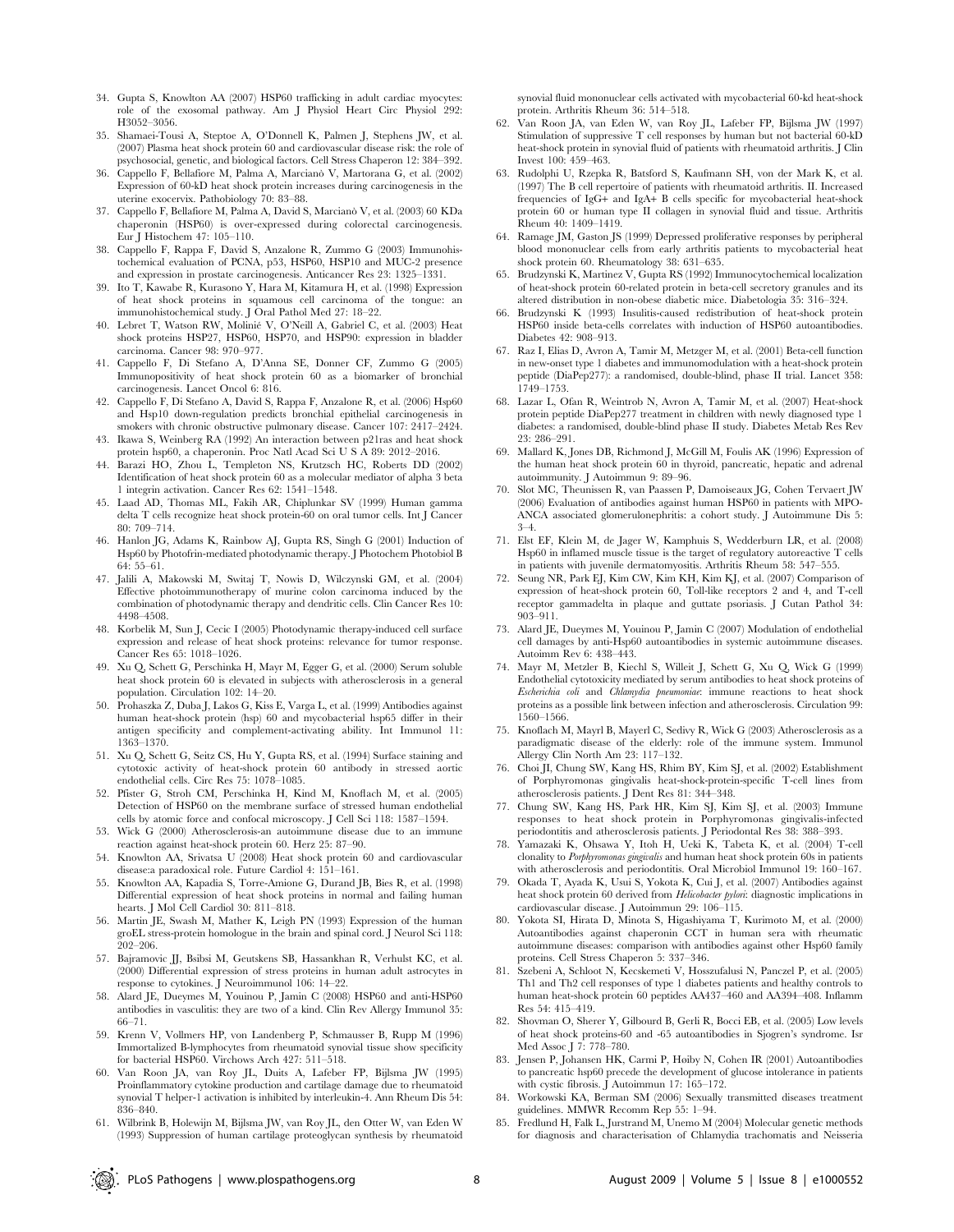- 34. Gupta S, Knowlton AA (2007) HSP60 trafficking in adult cardiac myocytes: role of the exosomal pathway. Am J Physiol Heart Circ Physiol 292: H3052–3056.
- 35. Shamaei-Tousi A, Steptoe A, O'Donnell K, Palmen J, Stephens JW, et al. (2007) Plasma heat shock protein 60 and cardiovascular disease risk: the role of psychosocial, genetic, and biological factors. Cell Stress Chaperon 12: 384–392.
- 36. Cappello F, Bellafiore M, Palma A, Marciano` V, Martorana G, et al. (2002) Expression of 60-kD heat shock protein increases during carcinogenesis in the uterine exocervix. Pathobiology 70: 83–88.
- 37. Cappello F, Bellafiore M, Palma A, David S, Marciano` V, et al. (2003) 60 KDa chaperonin (HSP60) is over-expressed during colorectal carcinogenesis. Eur J Histochem 47: 105–110.
- 38. Cappello F, Rappa F, David S, Anzalone R, Zummo G (2003) Immunohistochemical evaluation of PCNA, p53, HSP60, HSP10 and MUC-2 presence and expression in prostate carcinogenesis. Anticancer Res 23: 1325–1331.
- 39. Ito T, Kawabe R, Kurasono Y, Hara M, Kitamura H, et al. (1998) Expression of heat shock proteins in squamous cell carcinoma of the tongue: an immunohistochemical study. J Oral Pathol Med 27: 18–22.
- 40. Lebret T, Watson RW, Molinié V, O'Neill A, Gabriel C, et al. (2003) Heat shock proteins HSP27, HSP60, HSP70, and HSP90: expression in bladder carcinoma. Cancer 98: 970–977.
- 41. Cappello F, Di Stefano A, D'Anna SE, Donner CF, Zummo G (2005) Immunopositivity of heat shock protein 60 as a biomarker of bronchial carcinogenesis. Lancet Oncol 6: 816.
- 42. Cappello F, Di Stefano A, David S, Rappa F, Anzalone R, et al. (2006) Hsp60 and Hsp10 down-regulation predicts bronchial epithelial carcinogenesis in smokers with chronic obstructive pulmonary disease. Cancer 107: 2417–2424.
- 43. Ikawa S, Weinberg RA (1992) An interaction between p21ras and heat shock protein hsp60, a chaperonin. Proc Natl Acad Sci U S A 89: 2012–2016.
- 44. Barazi HO, Zhou L, Templeton NS, Krutzsch HC, Roberts DD (2002) Identification of heat shock protein 60 as a molecular mediator of alpha 3 beta 1 integrin activation. Cancer Res 62: 1541–1548.
- 45. Laad AD, Thomas ML, Fakih AR, Chiplunkar SV (1999) Human gamma delta T cells recognize heat shock protein-60 on oral tumor cells. Int J Cancer 80: 709–714.
- 46. Hanlon JG, Adams K, Rainbow AJ, Gupta RS, Singh G (2001) Induction of Hsp60 by Photofrin-mediated photodynamic therapy. J Photochem Photobiol B 64: 55–61.
- 47. Jalili A, Makowski M, Switaj T, Nowis D, Wilczynski GM, et al. (2004) Effective photoimmunotherapy of murine colon carcinoma induced by the combination of photodynamic therapy and dendritic cells. Clin Cancer Res 10: 4498–4508.
- 48. Korbelik M, Sun J, Cecic I (2005) Photodynamic therapy-induced cell surface expression and release of heat shock proteins: relevance for tumor response. Cancer Res 65: 1018–1026.
- 49. Xu Q, Schett G, Perschinka H, Mayr M, Egger G, et al. (2000) Serum soluble heat shock protein 60 is elevated in subjects with atherosclerosis in a general population. Circulation 102: 14–20.
- 50. Prohaszka Z, Duba J, Lakos G, Kiss E, Varga L, et al. (1999) Antibodies against human heat-shock protein (hsp) 60 and mycobacterial hsp65 differ in their antigen specificity and complement-activating ability. Int Immunol 11: 1363–1370.
- 51. Xu Q, Schett G, Seitz CS, Hu Y, Gupta RS, et al. (1994) Surface staining and cytotoxic activity of heat-shock protein 60 antibody in stressed aortic endothelial cells. Circ Res 75: 1078–1085.
- 52. Pfister G, Stroh CM, Perschinka H, Kind M, Knoflach M, et al. (2005) Detection of HSP60 on the membrane surface of stressed human endothelial cells by atomic force and confocal microscopy. J Cell Sci 118: 1587–1594.
- 53. Wick G (2000) Atherosclerosis-an autoimmune disease due to an immune reaction against heat-shock protein 60. Herz 25: 87–90.
- 54. Knowlton AA, Srivatsa U (2008) Heat shock protein 60 and cardiovascular disease:a paradoxical role. Future Cardiol 4: 151–161.
- 55. Knowlton AA, Kapadia S, Torre-Amione G, Durand JB, Bies R, et al. (1998) Differential expression of heat shock proteins in normal and failing human hearts. J Mol Cell Cardiol 30: 811–818.
- 56. Martin JE, Swash M, Mather K, Leigh PN (1993) Expression of the human groEL stress-protein homologue in the brain and spinal cord. J Neurol Sci 118: 202–206.
- 57. Bajramovic JJ, Bsibsi M, Geutskens SB, Hassankhan R, Verhulst KC, et al. (2000) Differential expression of stress proteins in human adult astrocytes in response to cytokines. J Neuroimmunol 106: 14–22.
- 58. Alard JE, Dueymes M, Youinou P, Jamin C (2008) HSP60 and anti-HSP60 antibodies in vasculitis: they are two of a kind. Clin Rev Allergy Immunol 35: 66–71.
- 59. Krenn V, Vollmers HP, von Landenberg P, Schmausser B, Rupp M (1996) Immortalized B-lymphocytes from rheumatoid synovial tissue show specificity for bacterial HSP60. Virchows Arch 427: 511–518.
- 60. Van Roon JA, van Roy JL, Duits A, Lafeber FP, Bijlsma JW (1995) Proinflammatory cytokine production and cartilage damage due to rheumatoid synovial T helper-1 activation is inhibited by interleukin-4. Ann Rheum Dis 54: 836–840.
- 61. Wilbrink B, Holewijn M, Bijlsma JW, van Roy JL, den Otter W, van Eden W (1993) Suppression of human cartilage proteoglycan synthesis by rheumatoid

synovial fluid mononuclear cells activated with mycobacterial 60-kd heat-shock protein. Arthritis Rheum 36: 514–518.

- 62. Van Roon JA, van Eden W, van Roy JL, Lafeber FP, Bijlsma JW (1997) Stimulation of suppressive T cell responses by human but not bacterial 60-kD heat-shock protein in synovial fluid of patients with rheumatoid arthritis. J Clin Invest 100: 459–463.
- 63. Rudolphi U, Rzepka R, Batsford S, Kaufmann SH, von der Mark K, et al. (1997) The B cell repertoire of patients with rheumatoid arthritis. II. Increased frequencies of IgG+ and IgA+ B cells specific for mycobacterial heat-shock protein 60 or human type II collagen in synovial fluid and tissue. Arthritis Rheum 40: 1409–1419.
- 64. Ramage JM, Gaston JS (1999) Depressed proliferative responses by peripheral blood mononuclear cells from early arthritis patients to mycobacterial heat shock protein 60. Rheumatology 38: 631–635.
- 65. Brudzynski K, Martinez V, Gupta RS (1992) Immunocytochemical localization of heat-shock protein 60-related protein in beta-cell secretory granules and its altered distribution in non-obese diabetic mice. Diabetologia 35: 316–324.
- 66. Brudzynski K (1993) Insulitis-caused redistribution of heat-shock protein HSP60 inside beta-cells correlates with induction of HSP60 autoantibodies. Diabetes 42: 908–913.
- 67. Raz I, Elias D, Avron A, Tamir M, Metzger M, et al. (2001) Beta-cell function in new-onset type 1 diabetes and immunomodulation with a heat-shock protein peptide (DiaPep277): a randomised, double-blind, phase II trial. Lancet 358: 1749–1753.
- 68. Lazar L, Ofan R, Weintrob N, Avron A, Tamir M, et al. (2007) Heat-shock protein peptide DiaPep277 treatment in children with newly diagnosed type 1 diabetes: a randomised, double-blind phase II study. Diabetes Metab Res Rev 23: 286–291.
- 69. Mallard K, Jones DB, Richmond J, McGill M, Foulis AK (1996) Expression of the human heat shock protein 60 in thyroid, pancreatic, hepatic and adrenal autoimmunity. J Autoimmun 9: 89–96.
- 70. Slot MC, Theunissen R, van Paassen P, Damoiseaux JG, Cohen Tervaert JW (2006) Evaluation of antibodies against human HSP60 in patients with MPO-ANCA associated glomerulonephritis: a cohort study. J Autoimmune Dis 5: 3–4.
- 71. Elst EF, Klein M, de Jager W, Kamphuis S, Wedderburn LR, et al. (2008) Hsp60 in inflamed muscle tissue is the target of regulatory autoreactive T cells in patients with juvenile dermatomyositis. Arthritis Rheum 58: 547–555.
- 72. Seung NR, Park EJ, Kim CW, Kim KH, Kim KJ, et al. (2007) Comparison of expression of heat-shock protein 60, Toll-like receptors 2 and 4, and T-cell receptor gammadelta in plaque and guttate psoriasis. J Cutan Pathol 34: 903–911.
- 73. Alard JE, Dueymes M, Youinou P, Jamin C (2007) Modulation of endothelial cell damages by anti-Hsp60 autoantibodies in systemic autoimmune diseases. Autoimm Rev 6: 438–443.
- 74. Mayr M, Metzler B, Kiechl S, Willeit J, Schett G, Xu Q, Wick G (1999) Endothelial cytotoxicity mediated by serum antibodies to heat shock proteins of Escherichia coli and Chlamydia pneumoniae: immune reactions to heat shock proteins as a possible link between infection and atherosclerosis. Circulation 99: 1560–1566.
- 75. Knoflach M, Mayrl B, Mayerl C, Sedivy R, Wick G (2003) Atherosclerosis as a paradigmatic disease of the elderly: role of the immune system. Immunol Allergy Clin North Am 23: 117–132.
- 76. Choi JI, Chung SW, Kang HS, Rhim BY, Kim SJ, et al. (2002) Establishment of Porphyromonas gingivalis heat-shock-protein-specific T-cell lines from atherosclerosis patients. J Dent Res 81: 344–348.
- 77. Chung SW, Kang HS, Park HR, Kim SJ, Kim SJ, et al. (2003) Immune responses to heat shock protein in Porphyromonas gingivalis-infected periodontitis and atherosclerosis patients. J Periodontal Res 38: 388–393.
- 78. Yamazaki K, Ohsawa Y, Itoh H, Ueki K, Tabeta K, et al. (2004) T-cell clonality to Porphyromonas gingivalis and human heat shock protein 60s in patients with atherosclerosis and periodontitis. Oral Microbiol Immunol 19: 160–167.
- 79. Okada T, Ayada K, Usui S, Yokota K, Cui J, et al. (2007) Antibodies against heat shock protein 60 derived from *Helicobacter pylori*: diagnostic implications in cardiovascular disease. J Autoimmun 29: 106–115.
- 80. Yokota SI, Hirata D, Minota S, Higashiyama T, Kurimoto M, et al. (2000) Autoantibodies against chaperonin CCT in human sera with rheumatic autoimmune diseases: comparison with antibodies against other Hsp60 family proteins. Cell Stress Chaperon 5: 337–346.
- 81. Szebeni A, Schloot N, Kecskemeti V, Hosszufalusi N, Panczel P, et al. (2005) Th1 and Th2 cell responses of type 1 diabetes patients and healthy controls to human heat-shock protein 60 peptides AA437–460 and AA394–408. Inflamm Res 54: 415–419.
- 82. Shovman O, Sherer Y, Gilbourd B, Gerli R, Bocci EB, et al. (2005) Low levels of heat shock proteins-60 and -65 autoantibodies in Sjogren's syndrome. Isr Med Assoc J 7: 778–780.
- 83. Jensen P, Johansen HK, Carmi P, Høiby N, Cohen IR (2001) Autoantibodies to pancreatic hsp60 precede the development of glucose intolerance in patients with cystic fibrosis. J Autoimmun 17: 165–172.
- 84. Workowski KA, Berman SM (2006) Sexually transmitted diseases treatment guidelines. MMWR Recomm Rep 55: 1–94.
- 85. Fredlund H, Falk L, Jurstrand M, Unemo M (2004) Molecular genetic methods for diagnosis and characterisation of Chlamydia trachomatis and Neisseria